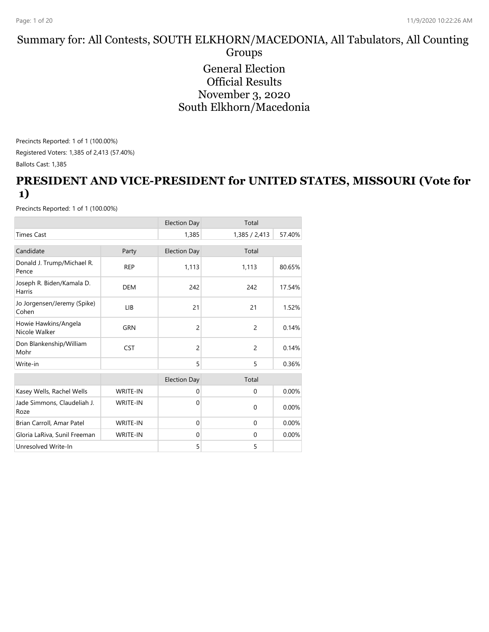#### Summary for: All Contests, SOUTH ELKHORN/MACEDONIA, All Tabulators, All Counting Groups General Election Official Results November 3, 2020 South Elkhorn/Macedonia

Precincts Reported: 1 of 1 (100.00%) Registered Voters: 1,385 of 2,413 (57.40%)

Ballots Cast: 1,385

#### **PRESIDENT AND VICE-PRESIDENT for UNITED STATES, MISSOURI (Vote for 1)**

|                                       |                 | <b>Election Day</b> | Total          |        |
|---------------------------------------|-----------------|---------------------|----------------|--------|
| <b>Times Cast</b>                     |                 | 1,385               | 1,385 / 2,413  | 57.40% |
| Candidate                             | Party           | <b>Election Day</b> | Total          |        |
| Donald J. Trump/Michael R.<br>Pence   | <b>REP</b>      | 1,113               | 1,113          | 80.65% |
| Joseph R. Biden/Kamala D.<br>Harris   | <b>DEM</b>      | 242                 | 242            | 17.54% |
| Jo Jorgensen/Jeremy (Spike)<br>Cohen  | LIB             | 21                  | 21             | 1.52%  |
| Howie Hawkins/Angela<br>Nicole Walker | <b>GRN</b>      | $\overline{c}$      | $\overline{2}$ | 0.14%  |
| Don Blankenship/William<br>Mohr       | <b>CST</b>      | $\overline{c}$      | $\overline{c}$ | 0.14%  |
| Write-in                              |                 | 5                   | 5              | 0.36%  |
|                                       |                 | <b>Election Day</b> | Total          |        |
| Kasey Wells, Rachel Wells             | WRITE-IN        | $\mathbf 0$         | $\mathbf{0}$   | 0.00%  |
| Jade Simmons, Claudeliah J.<br>Roze   | <b>WRITE-IN</b> | $\Omega$            | $\mathbf{0}$   | 0.00%  |
| Brian Carroll, Amar Patel             | WRITE-IN        | $\mathbf{0}$        | $\mathbf 0$    | 0.00%  |
| Gloria LaRiva, Sunil Freeman          | <b>WRITE-IN</b> | $\mathbf{0}$        | $\mathbf{0}$   | 0.00%  |
| Unresolved Write-In                   |                 | 5                   | 5              |        |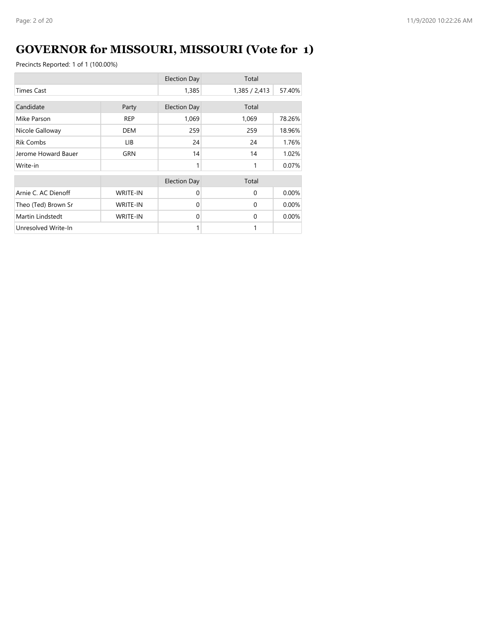## **GOVERNOR for MISSOURI, MISSOURI (Vote for 1)**

|                     |                 | <b>Election Day</b> | Total         |        |
|---------------------|-----------------|---------------------|---------------|--------|
| <b>Times Cast</b>   |                 |                     | 1,385 / 2,413 | 57.40% |
| Candidate           | Party           | <b>Election Day</b> | Total         |        |
| Mike Parson         | <b>REP</b>      | 1,069               | 1,069         | 78.26% |
| Nicole Galloway     | <b>DEM</b>      | 259                 | 259           | 18.96% |
| <b>Rik Combs</b>    | LIB.            | 24                  | 24            | 1.76%  |
| Jerome Howard Bauer | GRN             | 14                  | 14            | 1.02%  |
| Write-in            |                 | 1                   | 1             | 0.07%  |
|                     |                 | <b>Election Day</b> | Total         |        |
| Arnie C. AC Dienoff | <b>WRITE-IN</b> | $\Omega$            | $\Omega$      | 0.00%  |
| Theo (Ted) Brown Sr | <b>WRITE-IN</b> | $\Omega$            | $\Omega$      | 0.00%  |
| Martin Lindstedt    | <b>WRITE-IN</b> | $\Omega$            | $\Omega$      | 0.00%  |
| Unresolved Write-In |                 |                     | 1             |        |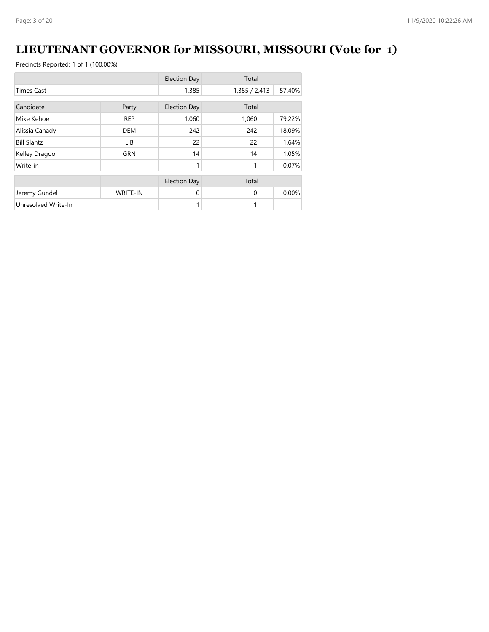### **LIEUTENANT GOVERNOR for MISSOURI, MISSOURI (Vote for 1)**

|                     |                 | <b>Election Day</b> | Total         |        |
|---------------------|-----------------|---------------------|---------------|--------|
| <b>Times Cast</b>   |                 | 1,385               | 1,385 / 2,413 | 57.40% |
| Candidate           |                 |                     | Total         |        |
|                     | Party           | <b>Election Day</b> |               |        |
| Mike Kehoe          | <b>REP</b>      | 1,060               | 1,060         | 79.22% |
| Alissia Canady      | <b>DEM</b>      | 242                 | 242           | 18.09% |
| <b>Bill Slantz</b>  | LIB.            | 22                  | 22            | 1.64%  |
| Kelley Dragoo       | <b>GRN</b>      | 14                  | 14            | 1.05%  |
| Write-in            |                 | 1                   | 1             | 0.07%  |
|                     |                 | <b>Election Day</b> | Total         |        |
|                     |                 |                     |               |        |
| Jeremy Gundel       | <b>WRITE-IN</b> | 0                   | $\Omega$      | 0.00%  |
| Unresolved Write-In |                 | 1                   | 1             |        |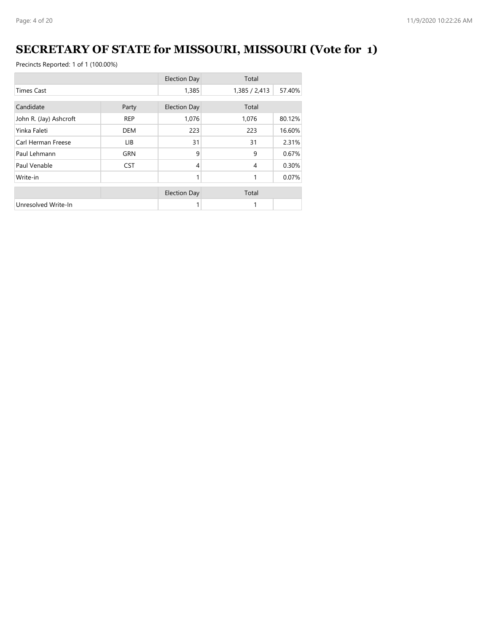# **SECRETARY OF STATE for MISSOURI, MISSOURI (Vote for 1)**

|                        |            | <b>Election Day</b> | Total         |        |
|------------------------|------------|---------------------|---------------|--------|
| <b>Times Cast</b>      |            | 1,385               | 1,385 / 2,413 | 57.40% |
| Candidate              | Party      | <b>Election Day</b> | Total         |        |
| John R. (Jay) Ashcroft | <b>REP</b> | 1,076               | 1,076         | 80.12% |
| Yinka Faleti           | <b>DEM</b> | 223                 | 223           | 16.60% |
| Carl Herman Freese     | LIB.       | 31                  | 31            | 2.31%  |
| Paul Lehmann           | <b>GRN</b> | 9                   | 9             | 0.67%  |
| Paul Venable           | <b>CST</b> | 4                   | 4             | 0.30%  |
| Write-in               |            | 1                   | 1             | 0.07%  |
|                        |            | <b>Election Day</b> | Total         |        |
| Unresolved Write-In    |            |                     |               |        |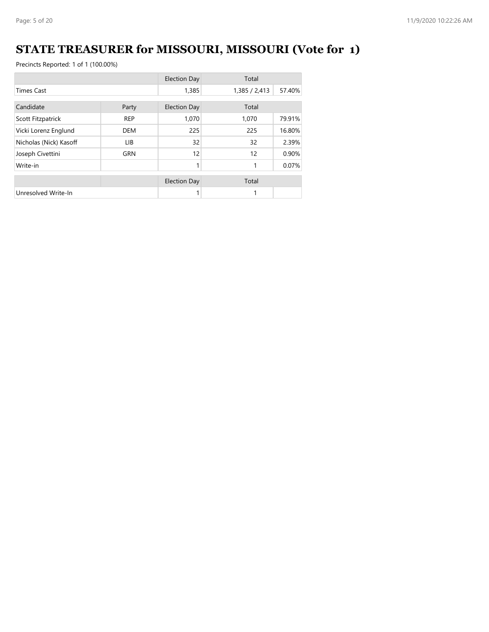## **STATE TREASURER for MISSOURI, MISSOURI (Vote for 1)**

|                        |            | <b>Election Day</b> | Total         |        |
|------------------------|------------|---------------------|---------------|--------|
| <b>Times Cast</b>      |            | 1,385               | 1,385 / 2,413 | 57.40% |
| Candidate              | Party      | <b>Election Day</b> | Total         |        |
| Scott Fitzpatrick      | <b>REP</b> | 1,070               | 1,070         | 79.91% |
| Vicki Lorenz Englund   | <b>DEM</b> | 225                 | 225           | 16.80% |
| Nicholas (Nick) Kasoff | LIB.       | 32                  | 32            | 2.39%  |
| Joseph Civettini       | <b>GRN</b> | 12                  | 12            | 0.90%  |
| Write-in               |            | 1                   | 1             | 0.07%  |
|                        |            | <b>Election Day</b> | Total         |        |
| Unresolved Write-In    |            | 1                   | 1             |        |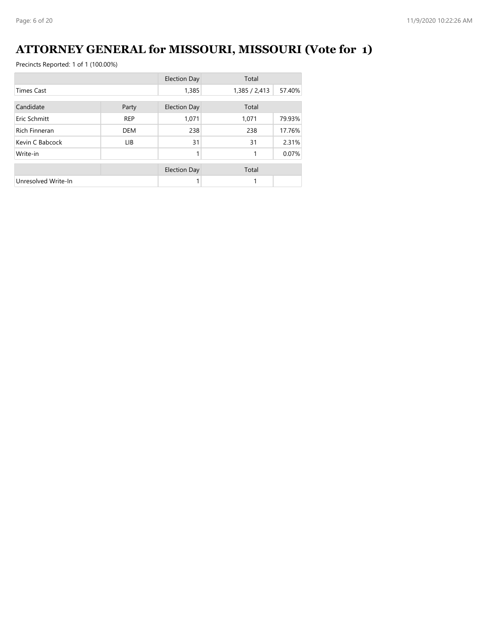### **ATTORNEY GENERAL for MISSOURI, MISSOURI (Vote for 1)**

|                      |            | <b>Election Day</b> | Total         |        |
|----------------------|------------|---------------------|---------------|--------|
| <b>Times Cast</b>    |            | 1,385               | 1,385 / 2,413 | 57.40% |
| Candidate            | Party      | <b>Election Day</b> | Total         |        |
| Eric Schmitt         | <b>REP</b> | 1,071               | 1,071         | 79.93% |
| <b>Rich Finneran</b> | <b>DEM</b> | 238                 | 238           | 17.76% |
| Kevin C Babcock      | LIB.       | 31                  | 31            | 2.31%  |
| Write-in             |            |                     |               | 0.07%  |
|                      |            | <b>Election Day</b> | Total         |        |
| Unresolved Write-In  |            |                     |               |        |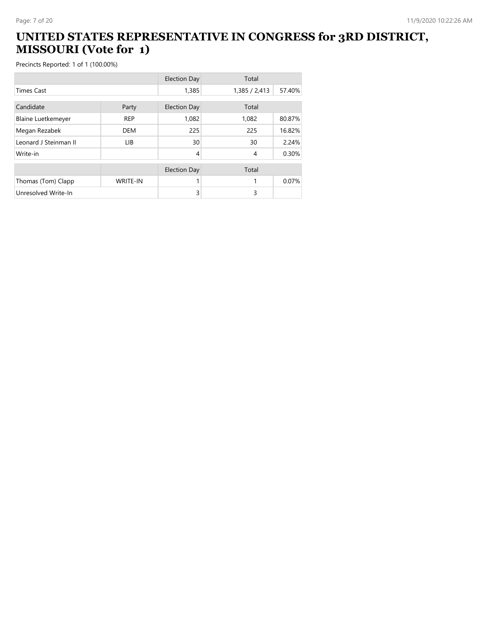#### **UNITED STATES REPRESENTATIVE IN CONGRESS for 3RD DISTRICT, MISSOURI (Vote for 1)**

|                           |                 | <b>Election Day</b> | Total          |        |
|---------------------------|-----------------|---------------------|----------------|--------|
| <b>Times Cast</b>         |                 | 1,385               | 1,385 / 2,413  | 57.40% |
| Candidate                 | Party           | <b>Election Day</b> | Total          |        |
| <b>Blaine Luetkemeyer</b> | <b>REP</b>      | 1,082               | 1,082          | 80.87% |
| Megan Rezabek             | <b>DEM</b>      | 225                 | 225            | 16.82% |
| Leonard J Steinman II     | <b>LIB</b>      | 30                  | 30             | 2.24%  |
| Write-in                  |                 | 4                   | $\overline{4}$ | 0.30%  |
|                           |                 | <b>Election Day</b> | Total          |        |
| Thomas (Tom) Clapp        | <b>WRITE-IN</b> |                     |                | 0.07%  |
| Unresolved Write-In       |                 | 3                   | 3              |        |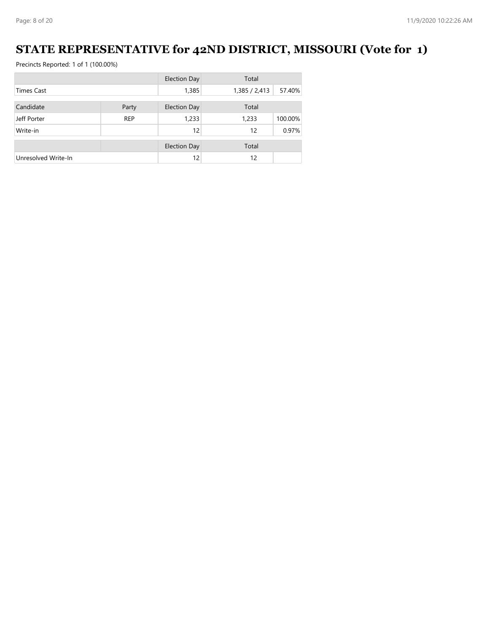### **STATE REPRESENTATIVE for 42ND DISTRICT, MISSOURI (Vote for 1)**

|                     |            | <b>Election Day</b> | Total         |         |
|---------------------|------------|---------------------|---------------|---------|
| <b>Times Cast</b>   |            | 1,385               | 1,385 / 2,413 | 57.40%  |
|                     |            |                     |               |         |
| Candidate           | Party      | <b>Election Day</b> | Total         |         |
| Jeff Porter         | <b>REP</b> | 1,233               | 1,233         | 100.00% |
| Write-in            |            | 12                  | 12            | 0.97%   |
|                     |            | <b>Election Day</b> | Total         |         |
| Unresolved Write-In |            | 12                  | 12            |         |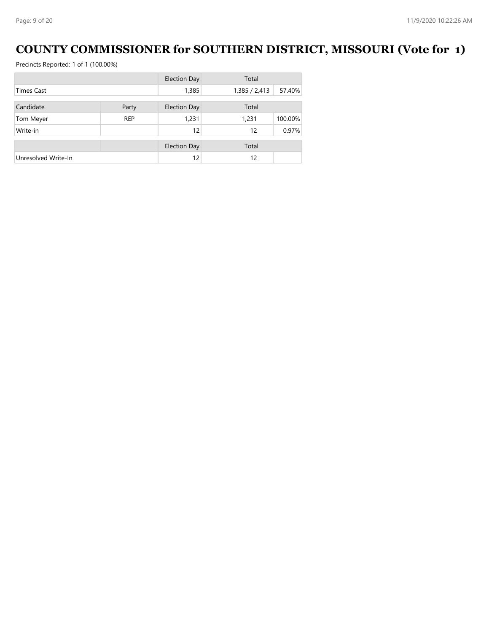### **COUNTY COMMISSIONER for SOUTHERN DISTRICT, MISSOURI (Vote for 1)**

|                     |            | <b>Election Day</b> | Total         |         |
|---------------------|------------|---------------------|---------------|---------|
| <b>Times Cast</b>   |            | 1,385               | 1,385 / 2,413 | 57.40%  |
| Candidate           | Party      | <b>Election Day</b> | Total         |         |
|                     |            |                     |               |         |
| Tom Meyer           | <b>REP</b> | 1,231               | 1,231         | 100.00% |
| Write-in            |            | 12                  | 12            | 0.97%   |
|                     |            | <b>Election Day</b> | Total         |         |
| Unresolved Write-In |            | 12                  | 12            |         |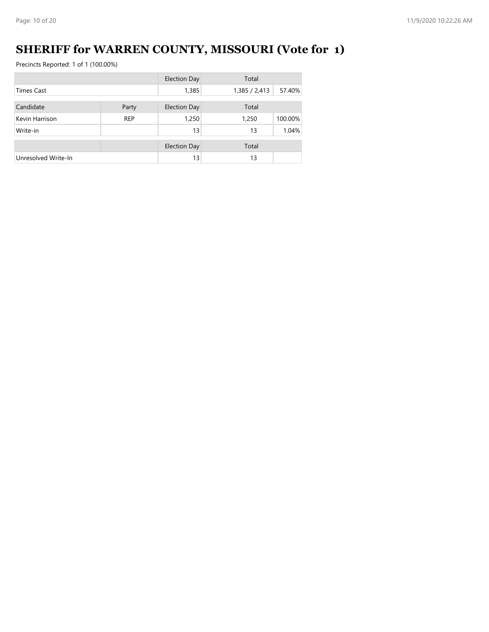## **SHERIFF for WARREN COUNTY, MISSOURI (Vote for 1)**

|                     |            | <b>Election Day</b> | Total         |         |
|---------------------|------------|---------------------|---------------|---------|
| <b>Times Cast</b>   |            | 1,385               | 1,385 / 2,413 | 57.40%  |
| Candidate           | Party      | <b>Election Day</b> | Total         |         |
| Kevin Harrison      | <b>REP</b> | 1,250               | 1,250         | 100.00% |
| Write-in            |            | 13                  | 13            | 1.04%   |
|                     |            | <b>Election Day</b> | Total         |         |
| Unresolved Write-In |            | 13                  | 13            |         |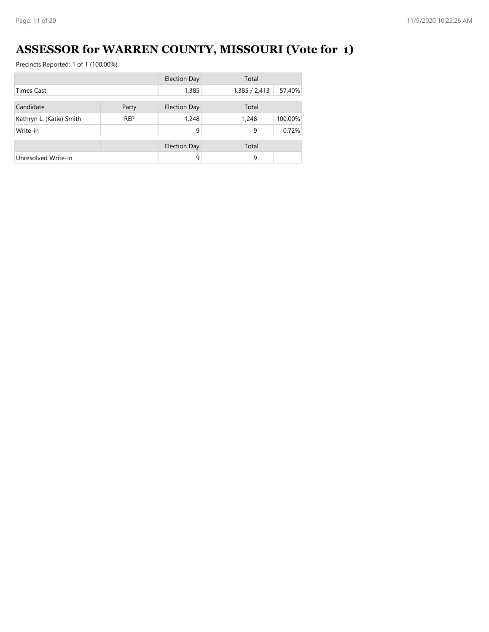## **ASSESSOR for WARREN COUNTY, MISSOURI (Vote for 1)**

|                          |            | <b>Election Day</b> | Total         |         |
|--------------------------|------------|---------------------|---------------|---------|
| <b>Times Cast</b>        |            | 1,385               | 1,385 / 2,413 | 57.40%  |
| Candidate                | Party      | Election Day        | Total         |         |
| Kathryn L. (Katie) Smith | <b>REP</b> | 1,248               | 1,248         | 100.00% |
| Write-in                 |            | 9                   | 9             | 0.72%   |
|                          |            | <b>Election Day</b> | Total         |         |
| Unresolved Write-In      |            | 9                   | 9             |         |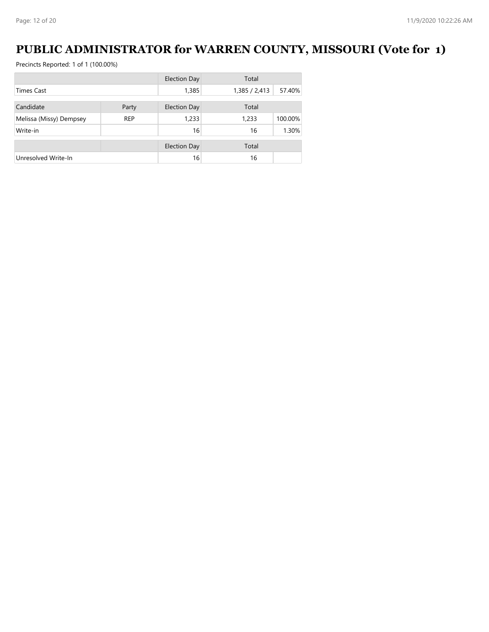### **PUBLIC ADMINISTRATOR for WARREN COUNTY, MISSOURI (Vote for 1)**

|                         |            | <b>Election Day</b> | Total         |         |
|-------------------------|------------|---------------------|---------------|---------|
| Times Cast              |            | 1,385               | 1,385 / 2,413 | 57.40%  |
| Candidate               | Party      | Election Day        | Total         |         |
|                         |            |                     |               |         |
| Melissa (Missy) Dempsey | <b>REP</b> | 1,233               | 1,233         | 100.00% |
| Write-in                |            | 16                  | 16            | 1.30%   |
|                         |            | <b>Election Day</b> | Total         |         |
| Unresolved Write-In     |            | 16                  | 16            |         |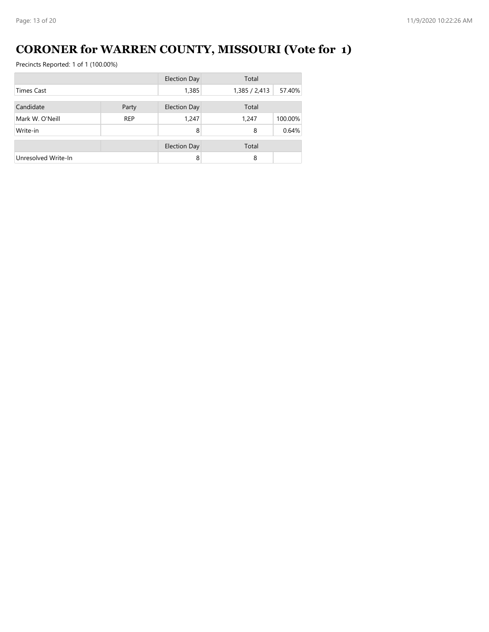## **CORONER for WARREN COUNTY, MISSOURI (Vote for 1)**

|                     |            | <b>Election Day</b> | Total         |         |
|---------------------|------------|---------------------|---------------|---------|
| <b>Times Cast</b>   |            | 1,385               | 1,385 / 2,413 | 57.40%  |
| Candidate           | Party      | Election Day        | Total         |         |
| Mark W. O'Neill     | <b>REP</b> | 1,247               | 1,247         | 100.00% |
| Write-in            |            | 8                   | 8             | 0.64%   |
|                     |            | <b>Election Day</b> | Total         |         |
| Unresolved Write-In |            | 8                   | 8             |         |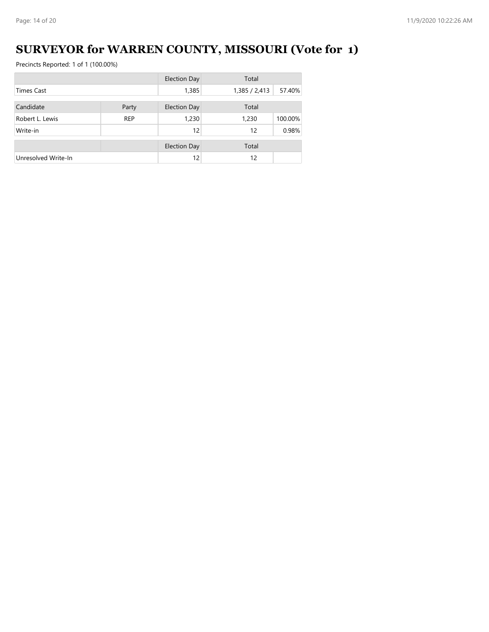## **SURVEYOR for WARREN COUNTY, MISSOURI (Vote for 1)**

|                     |            | <b>Election Day</b> | Total         |         |
|---------------------|------------|---------------------|---------------|---------|
| <b>Times Cast</b>   |            | 1,385               | 1,385 / 2,413 | 57.40%  |
| Candidate           | Party      | Election Day        | Total         |         |
| Robert L. Lewis     | <b>REP</b> | 1,230               | 1,230         | 100.00% |
| Write-in            |            | 12                  | 12            | 0.98%   |
|                     |            | <b>Election Day</b> | Total         |         |
| Unresolved Write-In |            | 12                  | 12            |         |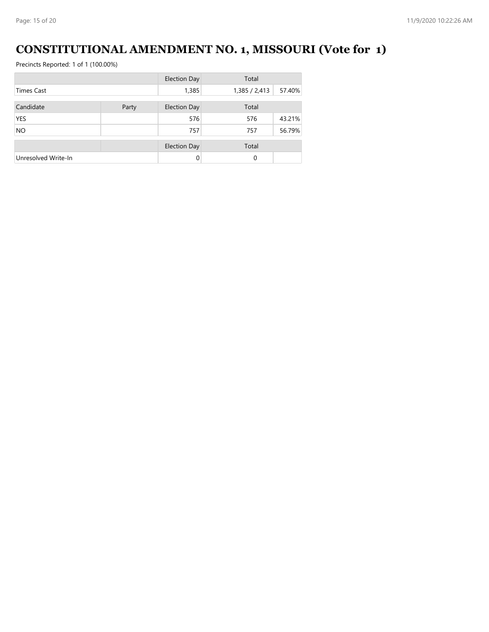### **CONSTITUTIONAL AMENDMENT NO. 1, MISSOURI (Vote for 1)**

|                     |       | <b>Election Day</b> | Total         |        |
|---------------------|-------|---------------------|---------------|--------|
| <b>Times Cast</b>   |       | 1,385               | 1,385 / 2,413 | 57.40% |
| Candidate           | Party | <b>Election Day</b> | Total         |        |
| <b>YES</b>          |       | 576                 | 576           | 43.21% |
| <b>NO</b>           |       | 757                 | 757           | 56.79% |
|                     |       | <b>Election Day</b> | Total         |        |
| Unresolved Write-In |       | $\Omega$            | 0             |        |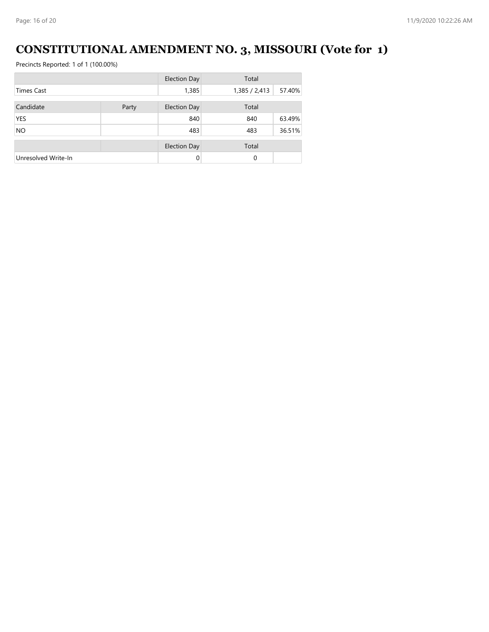## **CONSTITUTIONAL AMENDMENT NO. 3, MISSOURI (Vote for 1)**

|                     |       | <b>Election Day</b> | Total         |        |
|---------------------|-------|---------------------|---------------|--------|
| <b>Times Cast</b>   |       | 1,385               | 1,385 / 2,413 | 57.40% |
| Candidate           | Party | <b>Election Day</b> | Total         |        |
| <b>YES</b>          |       | 840                 | 840           | 63.49% |
| <b>NO</b>           |       | 483                 | 483           | 36.51% |
|                     |       | <b>Election Day</b> | Total         |        |
| Unresolved Write-In |       | $\Omega$            | 0             |        |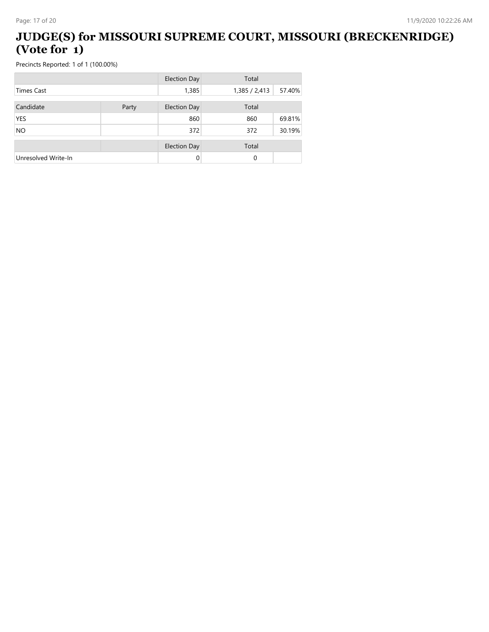#### **JUDGE(S) for MISSOURI SUPREME COURT, MISSOURI (BRECKENRIDGE) (Vote for 1)**

|                     |       | <b>Election Day</b> | Total         |        |
|---------------------|-------|---------------------|---------------|--------|
| <b>Times Cast</b>   |       | 1,385               | 1,385 / 2,413 | 57.40% |
| Candidate           | Party | <b>Election Day</b> | Total         |        |
| <b>YES</b>          |       | 860                 | 860           | 69.81% |
| <b>NO</b>           |       | 372                 | 372           | 30.19% |
|                     |       | <b>Election Day</b> | Total         |        |
| Unresolved Write-In |       | 0                   | 0             |        |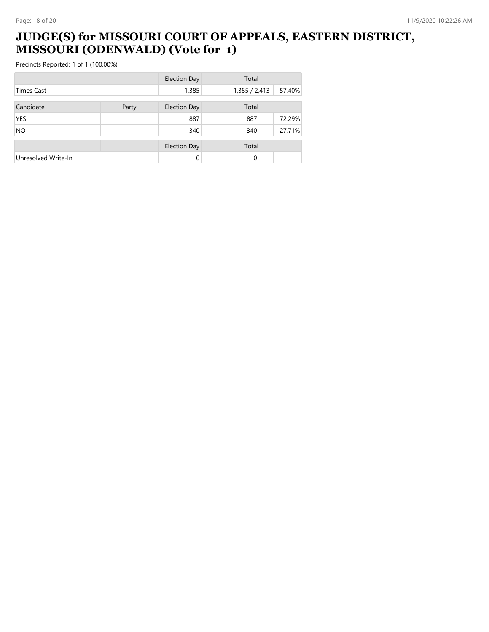#### **JUDGE(S) for MISSOURI COURT OF APPEALS, EASTERN DISTRICT, MISSOURI (ODENWALD) (Vote for 1)**

|                     |       | <b>Election Day</b> | Total         |        |
|---------------------|-------|---------------------|---------------|--------|
| <b>Times Cast</b>   |       | 1,385               | 1,385 / 2,413 | 57.40% |
| Candidate           | Party | <b>Election Day</b> | Total         |        |
| <b>YES</b>          |       | 887                 | 887           | 72.29% |
| <b>NO</b>           |       | 340                 | 340           | 27.71% |
|                     |       | <b>Election Day</b> | Total         |        |
| Unresolved Write-In |       | 0                   | 0             |        |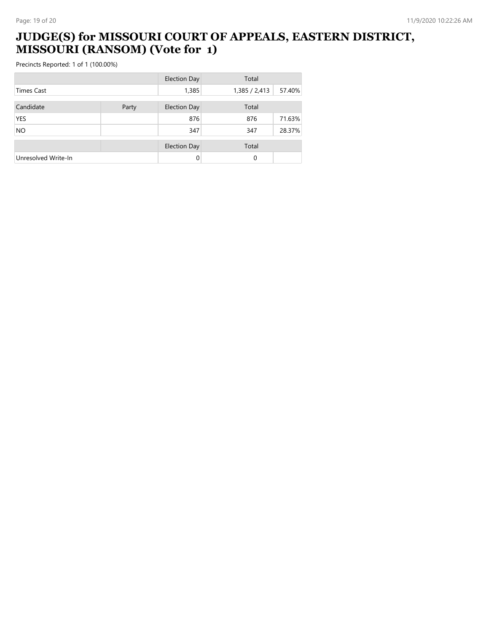#### **JUDGE(S) for MISSOURI COURT OF APPEALS, EASTERN DISTRICT, MISSOURI (RANSOM) (Vote for 1)**

|                     |       | <b>Election Day</b> | Total         |        |
|---------------------|-------|---------------------|---------------|--------|
| <b>Times Cast</b>   |       | 1,385               | 1,385 / 2,413 | 57.40% |
| Candidate           | Party | <b>Election Day</b> | Total         |        |
| <b>YES</b>          |       | 876                 | 876           | 71.63% |
| <b>NO</b>           |       | 347                 | 347           | 28.37% |
|                     |       | <b>Election Day</b> | Total         |        |
| Unresolved Write-In |       | $\Omega$            | 0             |        |